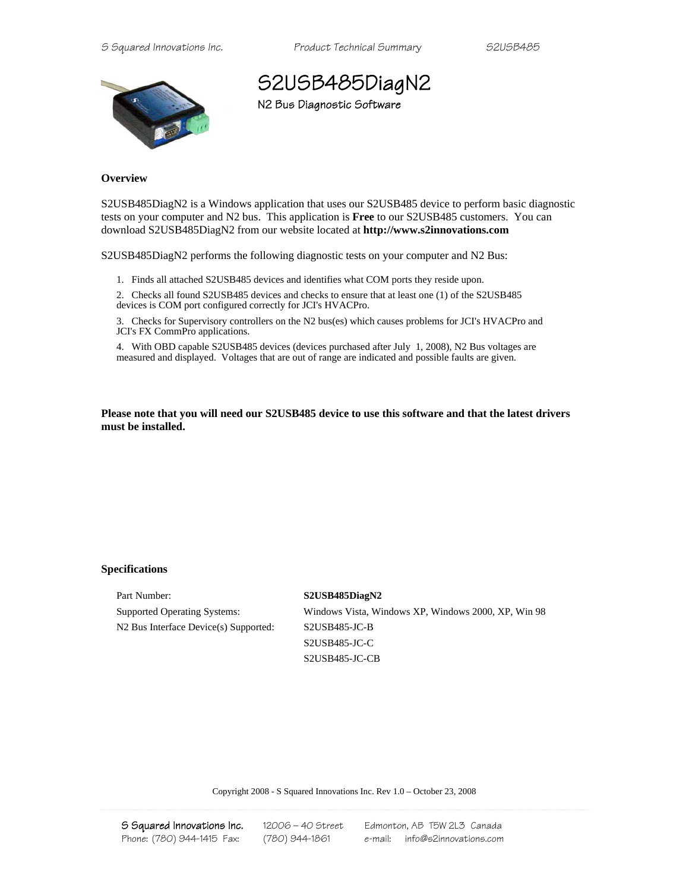*S Squared Innovations Inc. Product Technical Summary S2USB485* 



## S2USB485DiagN2 N2 Bus Diagnostic Software

**Overview** 

S2USB485DiagN2 is a Windows application that uses our S2USB485 device to perform basic diagnostic tests on your computer and N2 bus. This application is **Free** to our S2USB485 customers. You can download S2USB485DiagN2 from our website located at **http://www.s2innovations.com**

S2USB485DiagN2 performs the following diagnostic tests on your computer and N2 Bus:

1. Finds all attached S2USB485 devices and identifies what COM ports they reside upon.

2. Checks all found S2USB485 devices and checks to ensure that at least one (1) of the S2USB485 devices is COM port configured correctly for JCI's HVACPro.

3. Checks for Supervisory controllers on the N2 bus(es) which causes problems for JCI's HVACPro and JCI's FX CommPro applications.

4. With OBD capable S2USB485 devices (devices purchased after July 1, 2008), N2 Bus voltages are measured and displayed. Voltages that are out of range are indicated and possible faults are given.

**Please note that you will need our S2USB485 device to use this software and that the latest drivers must be installed.** 

## **Specifications**

Part Number: **S2USB485DiagN2** N2 Bus Interface Device(s) Supported: S2USB485-JC-B

Supported Operating Systems: Windows Vista, Windows XP, Windows 2000, XP, Win 98 S2USB485-JC-C S2USB485-JC-CB

Copyright 2008 - S Squared Innovations Inc. Rev 1.0 – October 23, 2008